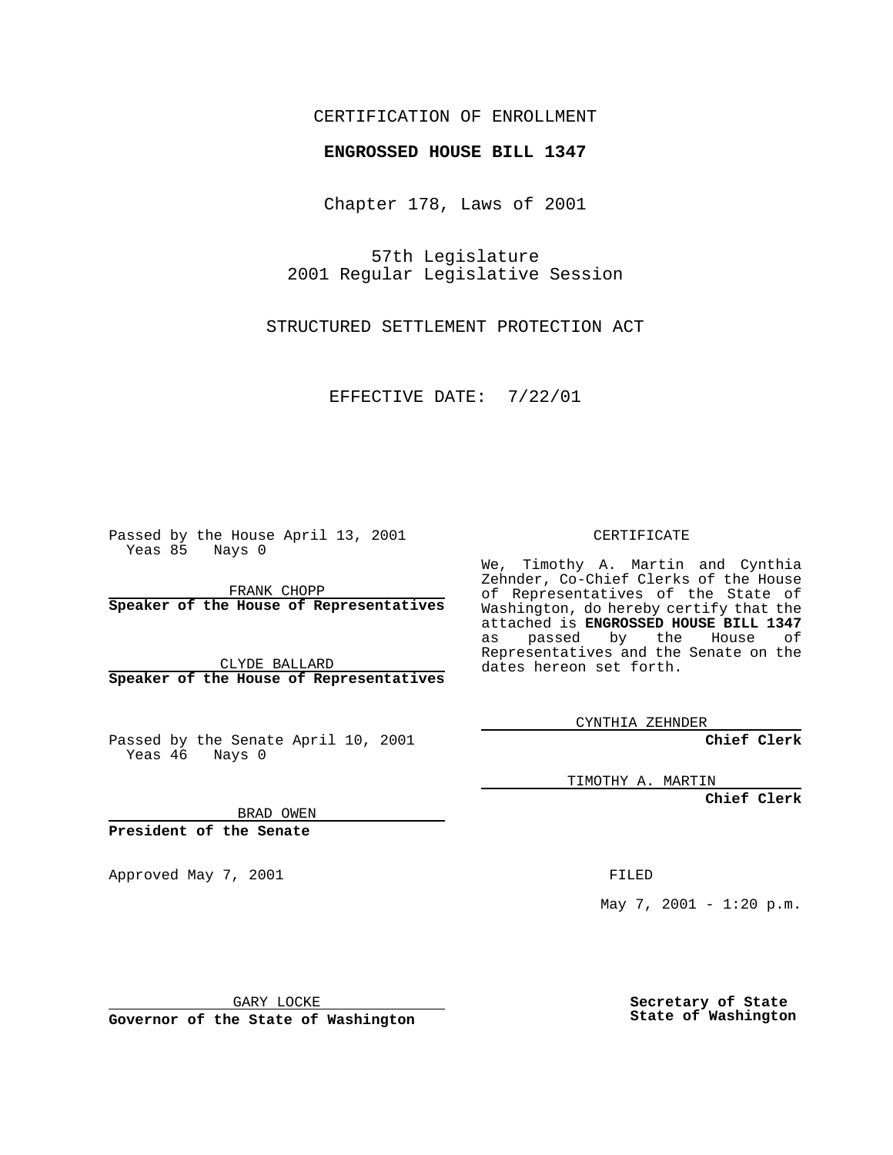#### CERTIFICATION OF ENROLLMENT

# **ENGROSSED HOUSE BILL 1347**

Chapter 178, Laws of 2001

57th Legislature 2001 Regular Legislative Session

STRUCTURED SETTLEMENT PROTECTION ACT

EFFECTIVE DATE: 7/22/01

Passed by the House April 13, 2001 Yeas 85 Nays 0

FRANK CHOPP **Speaker of the House of Representatives**

CLYDE BALLARD **Speaker of the House of Representatives**

Passed by the Senate April 10, 2001 Yeas 46 Nays 0

CERTIFICATE

We, Timothy A. Martin and Cynthia Zehnder, Co-Chief Clerks of the House of Representatives of the State of Washington, do hereby certify that the attached is **ENGROSSED HOUSE BILL 1347** as passed by the House of Representatives and the Senate on the dates hereon set forth.

CYNTHIA ZEHNDER

**Chief Clerk**

TIMOTHY A. MARTIN

**Chief Clerk**

BRAD OWEN

**President of the Senate**

Approved May 7, 2001 FILED

May 7, 2001 - 1:20 p.m.

GARY LOCKE

**Governor of the State of Washington**

**Secretary of State State of Washington**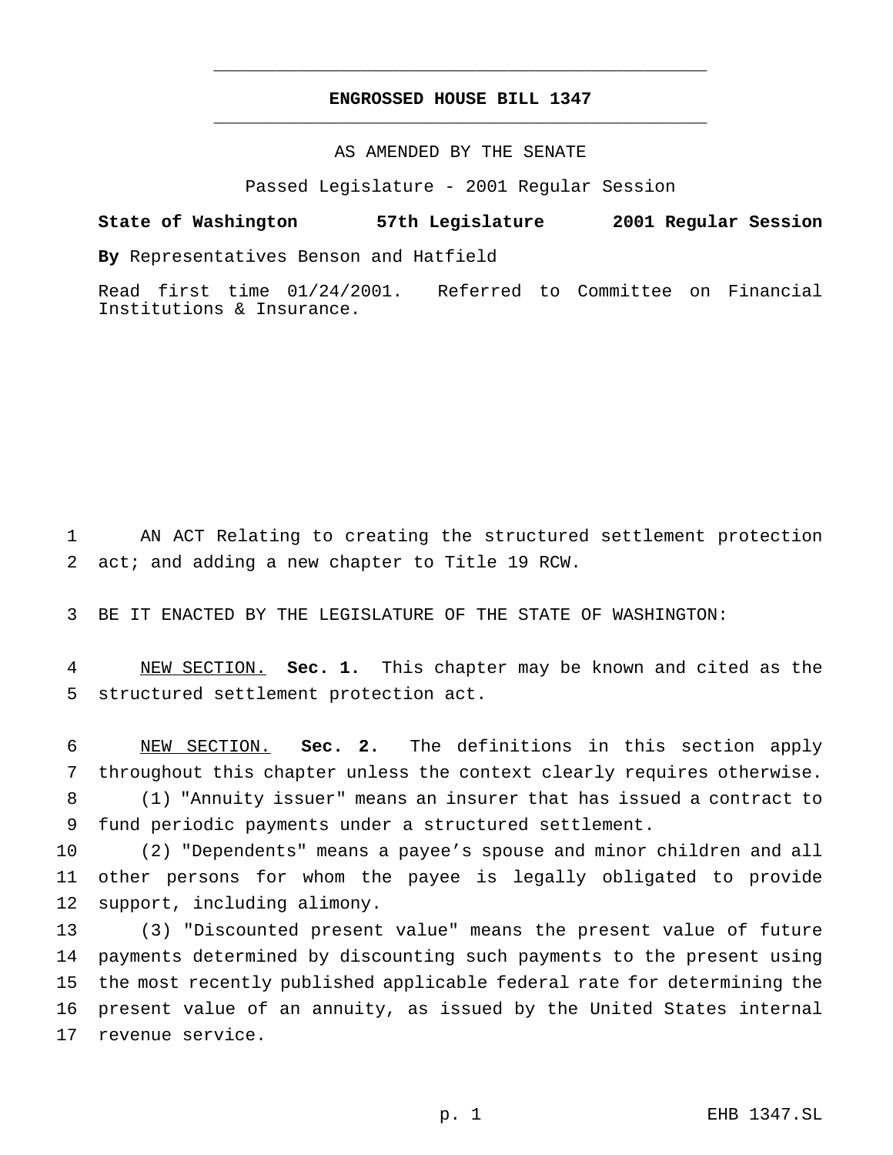# **ENGROSSED HOUSE BILL 1347** \_\_\_\_\_\_\_\_\_\_\_\_\_\_\_\_\_\_\_\_\_\_\_\_\_\_\_\_\_\_\_\_\_\_\_\_\_\_\_\_\_\_\_\_\_\_\_

\_\_\_\_\_\_\_\_\_\_\_\_\_\_\_\_\_\_\_\_\_\_\_\_\_\_\_\_\_\_\_\_\_\_\_\_\_\_\_\_\_\_\_\_\_\_\_

### AS AMENDED BY THE SENATE

Passed Legislature - 2001 Regular Session

#### **State of Washington 57th Legislature 2001 Regular Session**

**By** Representatives Benson and Hatfield

Read first time 01/24/2001. Referred to Committee on Financial Institutions & Insurance.

 AN ACT Relating to creating the structured settlement protection act; and adding a new chapter to Title 19 RCW.

BE IT ENACTED BY THE LEGISLATURE OF THE STATE OF WASHINGTON:

 NEW SECTION. **Sec. 1.** This chapter may be known and cited as the structured settlement protection act.

 NEW SECTION. **Sec. 2.** The definitions in this section apply throughout this chapter unless the context clearly requires otherwise.

 (1) "Annuity issuer" means an insurer that has issued a contract to fund periodic payments under a structured settlement.

 (2) "Dependents" means a payee's spouse and minor children and all other persons for whom the payee is legally obligated to provide support, including alimony.

 (3) "Discounted present value" means the present value of future payments determined by discounting such payments to the present using the most recently published applicable federal rate for determining the present value of an annuity, as issued by the United States internal revenue service.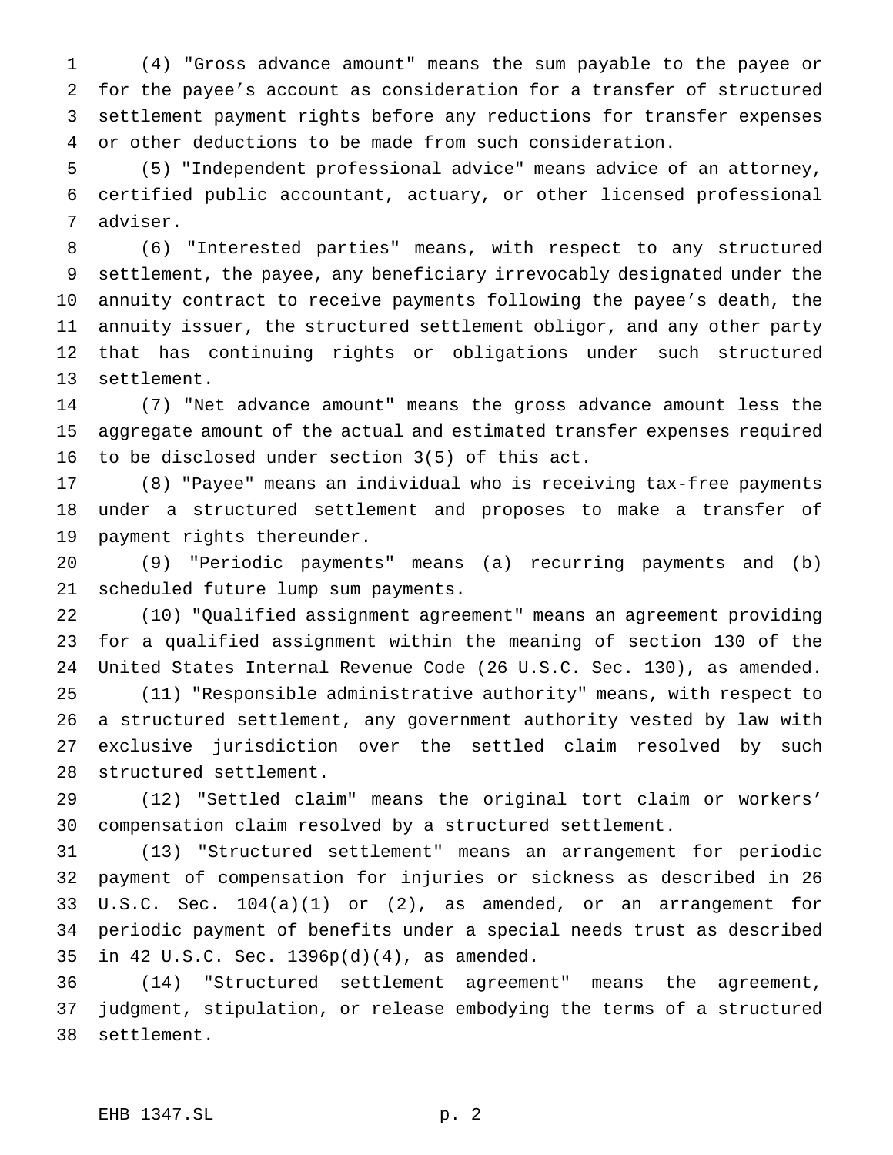(4) "Gross advance amount" means the sum payable to the payee or for the payee's account as consideration for a transfer of structured settlement payment rights before any reductions for transfer expenses or other deductions to be made from such consideration.

 (5) "Independent professional advice" means advice of an attorney, certified public accountant, actuary, or other licensed professional adviser.

 (6) "Interested parties" means, with respect to any structured settlement, the payee, any beneficiary irrevocably designated under the annuity contract to receive payments following the payee's death, the annuity issuer, the structured settlement obligor, and any other party that has continuing rights or obligations under such structured settlement.

 (7) "Net advance amount" means the gross advance amount less the aggregate amount of the actual and estimated transfer expenses required to be disclosed under section 3(5) of this act.

 (8) "Payee" means an individual who is receiving tax-free payments under a structured settlement and proposes to make a transfer of payment rights thereunder.

 (9) "Periodic payments" means (a) recurring payments and (b) scheduled future lump sum payments.

 (10) "Qualified assignment agreement" means an agreement providing for a qualified assignment within the meaning of section 130 of the United States Internal Revenue Code (26 U.S.C. Sec. 130), as amended. (11) "Responsible administrative authority" means, with respect to a structured settlement, any government authority vested by law with exclusive jurisdiction over the settled claim resolved by such structured settlement.

 (12) "Settled claim" means the original tort claim or workers' compensation claim resolved by a structured settlement.

 (13) "Structured settlement" means an arrangement for periodic payment of compensation for injuries or sickness as described in 26 U.S.C. Sec. 104(a)(1) or (2), as amended, or an arrangement for periodic payment of benefits under a special needs trust as described in 42 U.S.C. Sec. 1396p(d)(4), as amended.

 (14) "Structured settlement agreement" means the agreement, judgment, stipulation, or release embodying the terms of a structured settlement.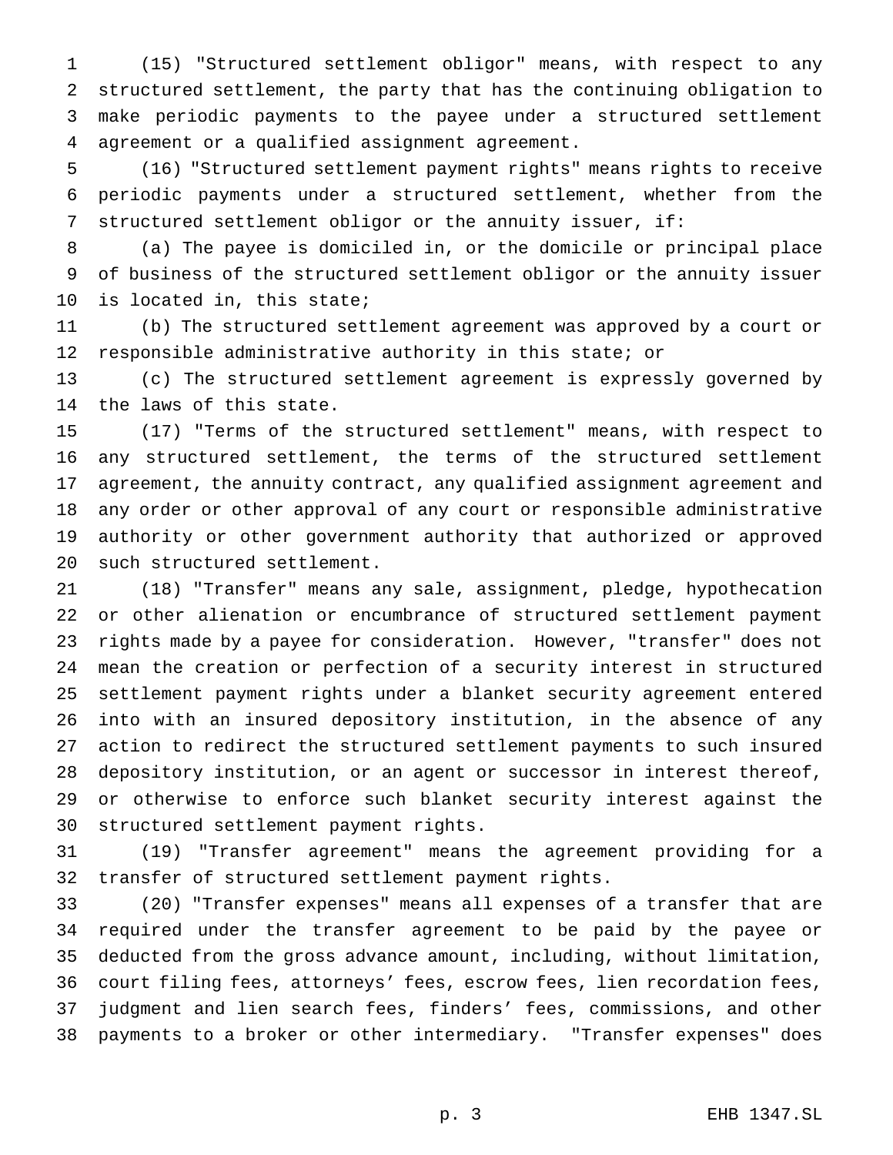(15) "Structured settlement obligor" means, with respect to any structured settlement, the party that has the continuing obligation to make periodic payments to the payee under a structured settlement agreement or a qualified assignment agreement.

 (16) "Structured settlement payment rights" means rights to receive periodic payments under a structured settlement, whether from the structured settlement obligor or the annuity issuer, if:

 (a) The payee is domiciled in, or the domicile or principal place of business of the structured settlement obligor or the annuity issuer is located in, this state;

 (b) The structured settlement agreement was approved by a court or responsible administrative authority in this state; or

 (c) The structured settlement agreement is expressly governed by the laws of this state.

 (17) "Terms of the structured settlement" means, with respect to any structured settlement, the terms of the structured settlement agreement, the annuity contract, any qualified assignment agreement and any order or other approval of any court or responsible administrative authority or other government authority that authorized or approved such structured settlement.

 (18) "Transfer" means any sale, assignment, pledge, hypothecation or other alienation or encumbrance of structured settlement payment rights made by a payee for consideration. However, "transfer" does not mean the creation or perfection of a security interest in structured settlement payment rights under a blanket security agreement entered into with an insured depository institution, in the absence of any action to redirect the structured settlement payments to such insured depository institution, or an agent or successor in interest thereof, or otherwise to enforce such blanket security interest against the structured settlement payment rights.

 (19) "Transfer agreement" means the agreement providing for a transfer of structured settlement payment rights.

 (20) "Transfer expenses" means all expenses of a transfer that are required under the transfer agreement to be paid by the payee or deducted from the gross advance amount, including, without limitation, court filing fees, attorneys' fees, escrow fees, lien recordation fees, judgment and lien search fees, finders' fees, commissions, and other payments to a broker or other intermediary. "Transfer expenses" does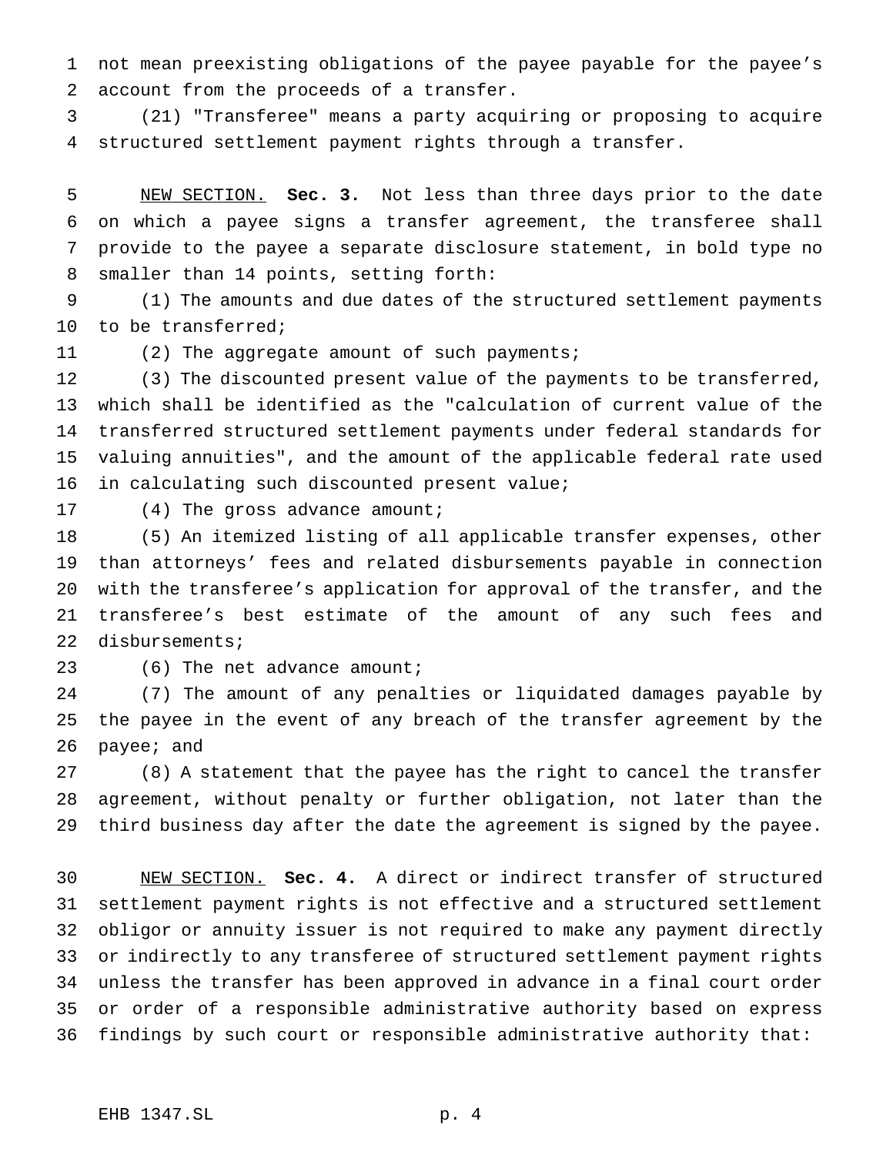not mean preexisting obligations of the payee payable for the payee's account from the proceeds of a transfer.

 (21) "Transferee" means a party acquiring or proposing to acquire structured settlement payment rights through a transfer.

 NEW SECTION. **Sec. 3.** Not less than three days prior to the date on which a payee signs a transfer agreement, the transferee shall provide to the payee a separate disclosure statement, in bold type no smaller than 14 points, setting forth:

 (1) The amounts and due dates of the structured settlement payments to be transferred;

11 (2) The aggregate amount of such payments;

 (3) The discounted present value of the payments to be transferred, which shall be identified as the "calculation of current value of the transferred structured settlement payments under federal standards for valuing annuities", and the amount of the applicable federal rate used 16 in calculating such discounted present value;

17 (4) The gross advance amount;

 (5) An itemized listing of all applicable transfer expenses, other than attorneys' fees and related disbursements payable in connection with the transferee's application for approval of the transfer, and the transferee's best estimate of the amount of any such fees and disbursements;

23 (6) The net advance amount;

 (7) The amount of any penalties or liquidated damages payable by the payee in the event of any breach of the transfer agreement by the payee; and

 (8) A statement that the payee has the right to cancel the transfer agreement, without penalty or further obligation, not later than the third business day after the date the agreement is signed by the payee.

 NEW SECTION. **Sec. 4.** A direct or indirect transfer of structured settlement payment rights is not effective and a structured settlement obligor or annuity issuer is not required to make any payment directly or indirectly to any transferee of structured settlement payment rights unless the transfer has been approved in advance in a final court order or order of a responsible administrative authority based on express findings by such court or responsible administrative authority that: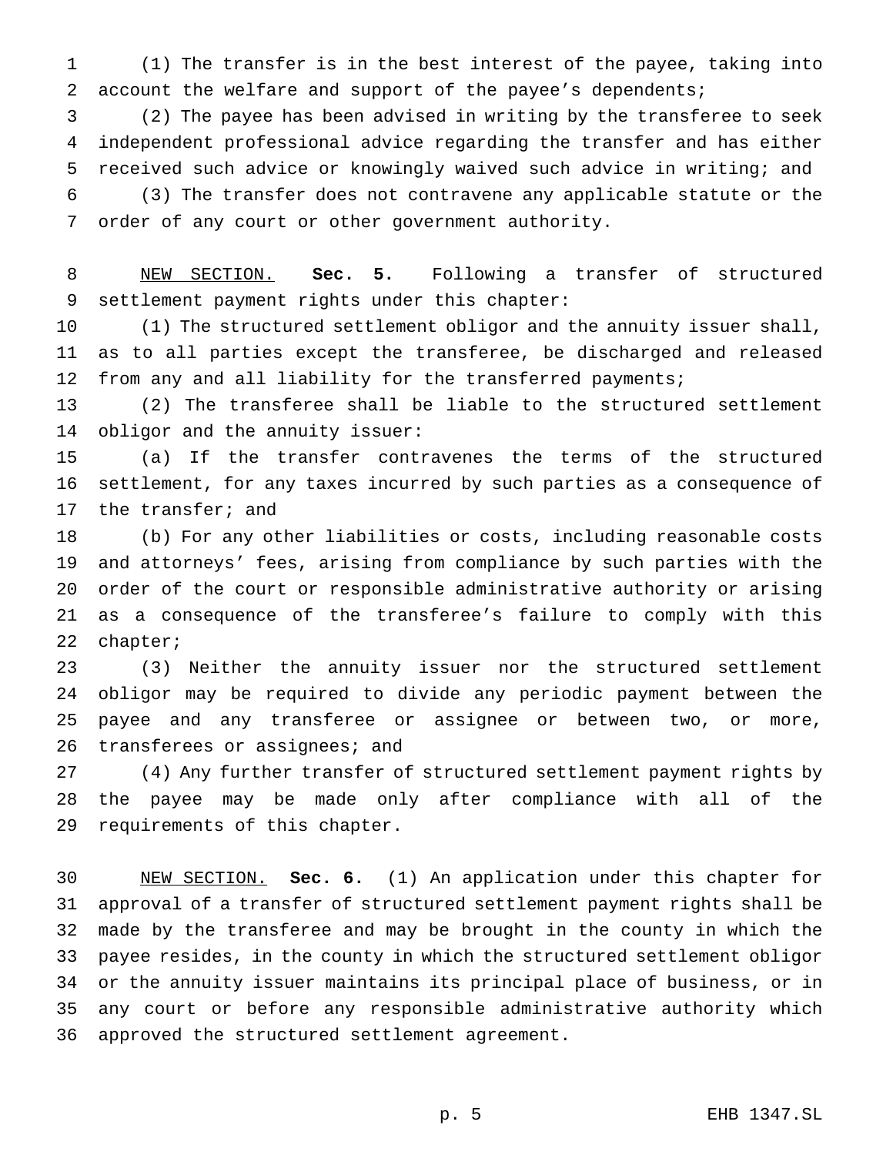(1) The transfer is in the best interest of the payee, taking into account the welfare and support of the payee's dependents;

 (2) The payee has been advised in writing by the transferee to seek independent professional advice regarding the transfer and has either received such advice or knowingly waived such advice in writing; and

 (3) The transfer does not contravene any applicable statute or the order of any court or other government authority.

 NEW SECTION. **Sec. 5.** Following a transfer of structured settlement payment rights under this chapter:

 (1) The structured settlement obligor and the annuity issuer shall, as to all parties except the transferee, be discharged and released from any and all liability for the transferred payments;

 (2) The transferee shall be liable to the structured settlement obligor and the annuity issuer:

 (a) If the transfer contravenes the terms of the structured settlement, for any taxes incurred by such parties as a consequence of the transfer; and

 (b) For any other liabilities or costs, including reasonable costs and attorneys' fees, arising from compliance by such parties with the order of the court or responsible administrative authority or arising as a consequence of the transferee's failure to comply with this chapter;

 (3) Neither the annuity issuer nor the structured settlement obligor may be required to divide any periodic payment between the payee and any transferee or assignee or between two, or more, 26 transferees or assignees; and

 (4) Any further transfer of structured settlement payment rights by the payee may be made only after compliance with all of the requirements of this chapter.

 NEW SECTION. **Sec. 6.** (1) An application under this chapter for approval of a transfer of structured settlement payment rights shall be made by the transferee and may be brought in the county in which the payee resides, in the county in which the structured settlement obligor or the annuity issuer maintains its principal place of business, or in any court or before any responsible administrative authority which approved the structured settlement agreement.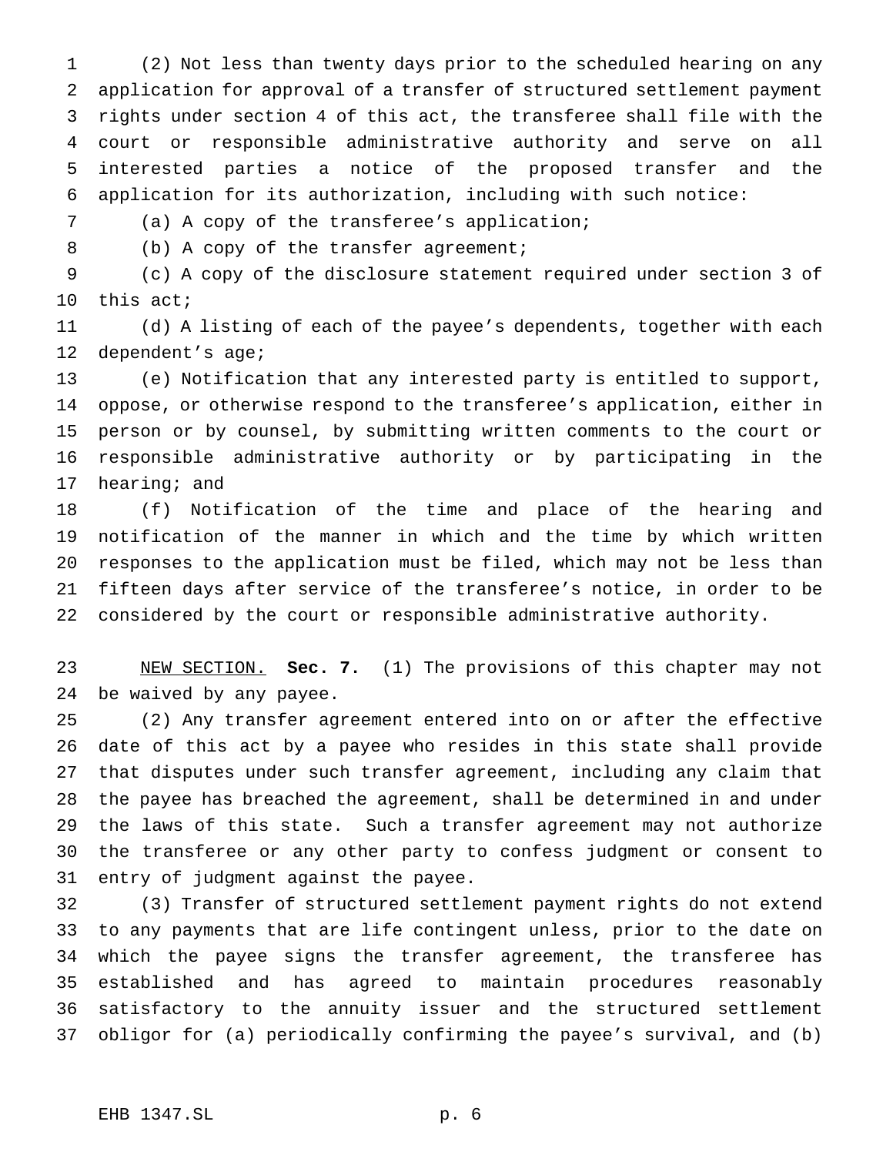(2) Not less than twenty days prior to the scheduled hearing on any application for approval of a transfer of structured settlement payment rights under section 4 of this act, the transferee shall file with the court or responsible administrative authority and serve on all interested parties a notice of the proposed transfer and the application for its authorization, including with such notice:

(a) A copy of the transferee's application;

8 (b) A copy of the transfer agreement;

 (c) A copy of the disclosure statement required under section 3 of this act;

 (d) A listing of each of the payee's dependents, together with each 12 dependent's age;

 (e) Notification that any interested party is entitled to support, oppose, or otherwise respond to the transferee's application, either in person or by counsel, by submitting written comments to the court or responsible administrative authority or by participating in the hearing; and

 (f) Notification of the time and place of the hearing and notification of the manner in which and the time by which written responses to the application must be filed, which may not be less than fifteen days after service of the transferee's notice, in order to be considered by the court or responsible administrative authority.

 NEW SECTION. **Sec. 7.** (1) The provisions of this chapter may not be waived by any payee.

 (2) Any transfer agreement entered into on or after the effective date of this act by a payee who resides in this state shall provide that disputes under such transfer agreement, including any claim that the payee has breached the agreement, shall be determined in and under the laws of this state. Such a transfer agreement may not authorize the transferee or any other party to confess judgment or consent to entry of judgment against the payee.

 (3) Transfer of structured settlement payment rights do not extend to any payments that are life contingent unless, prior to the date on which the payee signs the transfer agreement, the transferee has established and has agreed to maintain procedures reasonably satisfactory to the annuity issuer and the structured settlement obligor for (a) periodically confirming the payee's survival, and (b)